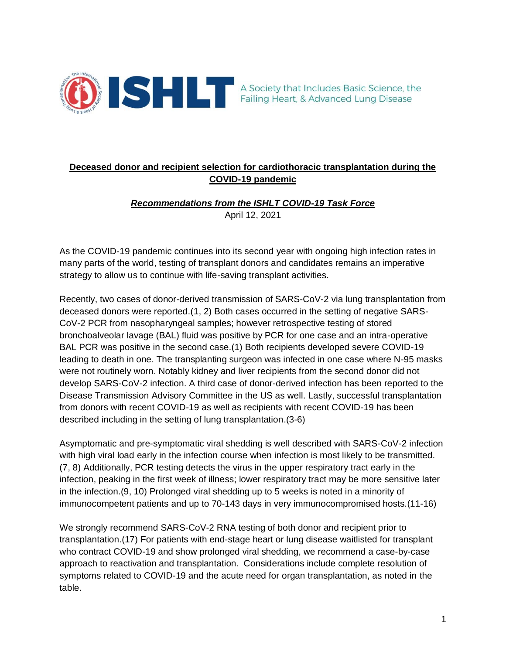

# **Deceased donor and recipient selection for cardiothoracic transplantation during the COVID-19 pandemic**

## *Recommendations from the ISHLT COVID-19 Task Force* April 12, 2021

As the COVID-19 pandemic continues into its second year with ongoing high infection rates in many parts of the world, testing of transplant donors and candidates remains an imperative strategy to allow us to continue with life-saving transplant activities.

Recently, two cases of donor-derived transmission of SARS-CoV-2 via lung transplantation from deceased donors were reported.(1, 2) Both cases occurred in the setting of negative SARS-CoV-2 PCR from nasopharyngeal samples; however retrospective testing of stored bronchoalveolar lavage (BAL) fluid was positive by PCR for one case and an intra-operative BAL PCR was positive in the second case.(1) Both recipients developed severe COVID-19 leading to death in one. The transplanting surgeon was infected in one case where N-95 masks were not routinely worn. Notably kidney and liver recipients from the second donor did not develop SARS-CoV-2 infection. A third case of donor-derived infection has been reported to the Disease Transmission Advisory Committee in the US as well. Lastly, successful transplantation from donors with recent COVID-19 as well as recipients with recent COVID-19 has been described including in the setting of lung transplantation.(3-6)

Asymptomatic and pre-symptomatic viral shedding is well described with SARS-CoV-2 infection with high viral load early in the infection course when infection is most likely to be transmitted. (7, 8) Additionally, PCR testing detects the virus in the upper respiratory tract early in the infection, peaking in the first week of illness; lower respiratory tract may be more sensitive later in the infection.(9, 10) Prolonged viral shedding up to 5 weeks is noted in a minority of immunocompetent patients and up to 70-143 days in very immunocompromised hosts.(11-16)

We strongly recommend SARS-CoV-2 RNA testing of both donor and recipient prior to transplantation.(17) For patients with end-stage heart or lung disease waitlisted for transplant who contract COVID-19 and show prolonged viral shedding, we recommend a case-by-case approach to reactivation and transplantation. Considerations include complete resolution of symptoms related to COVID-19 and the acute need for organ transplantation, as noted in the table.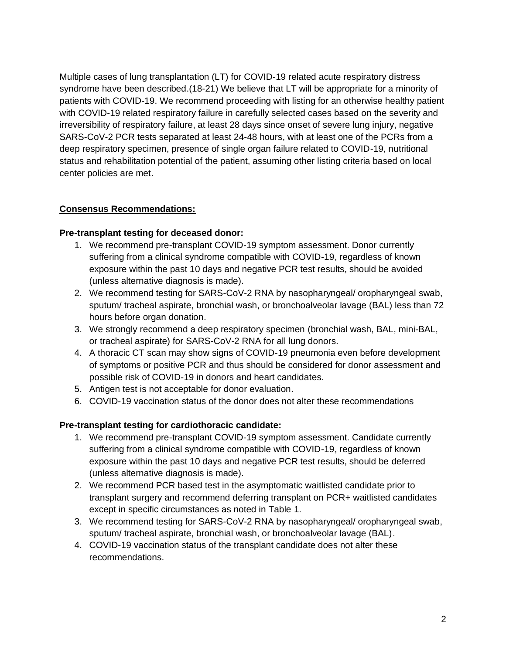Multiple cases of lung transplantation (LT) for COVID-19 related acute respiratory distress syndrome have been described.(18-21) We believe that LT will be appropriate for a minority of patients with COVID-19. We recommend proceeding with listing for an otherwise healthy patient with COVID-19 related respiratory failure in carefully selected cases based on the severity and irreversibility of respiratory failure, at least 28 days since onset of severe lung injury, negative SARS-CoV-2 PCR tests separated at least 24-48 hours, with at least one of the PCRs from a deep respiratory specimen, presence of single organ failure related to COVID-19, nutritional status and rehabilitation potential of the patient, assuming other listing criteria based on local center policies are met.

### **Consensus Recommendations:**

#### **Pre-transplant testing for deceased donor:**

- 1. We recommend pre-transplant COVID-19 symptom assessment. Donor currently suffering from a clinical syndrome compatible with COVID-19, regardless of known exposure within the past 10 days and negative PCR test results, should be avoided (unless alternative diagnosis is made).
- 2. We recommend testing for SARS-CoV-2 RNA by nasopharyngeal/ oropharyngeal swab, sputum/ tracheal aspirate, bronchial wash, or bronchoalveolar lavage (BAL) less than 72 hours before organ donation.
- 3. We strongly recommend a deep respiratory specimen (bronchial wash, BAL, mini-BAL, or tracheal aspirate) for SARS-CoV-2 RNA for all lung donors.
- 4. A thoracic CT scan may show signs of COVID-19 pneumonia even before development of symptoms or positive PCR and thus should be considered for donor assessment and possible risk of COVID-19 in donors and heart candidates.
- 5. Antigen test is not acceptable for donor evaluation.
- 6. COVID-19 vaccination status of the donor does not alter these recommendations

### **Pre-transplant testing for cardiothoracic candidate:**

- 1. We recommend pre-transplant COVID-19 symptom assessment. Candidate currently suffering from a clinical syndrome compatible with COVID-19, regardless of known exposure within the past 10 days and negative PCR test results, should be deferred (unless alternative diagnosis is made).
- 2. We recommend PCR based test in the asymptomatic waitlisted candidate prior to transplant surgery and recommend deferring transplant on PCR+ waitlisted candidates except in specific circumstances as noted in Table 1.
- 3. We recommend testing for SARS-CoV-2 RNA by nasopharyngeal/ oropharyngeal swab, sputum/ tracheal aspirate, bronchial wash, or bronchoalveolar lavage (BAL).
- 4. COVID-19 vaccination status of the transplant candidate does not alter these recommendations.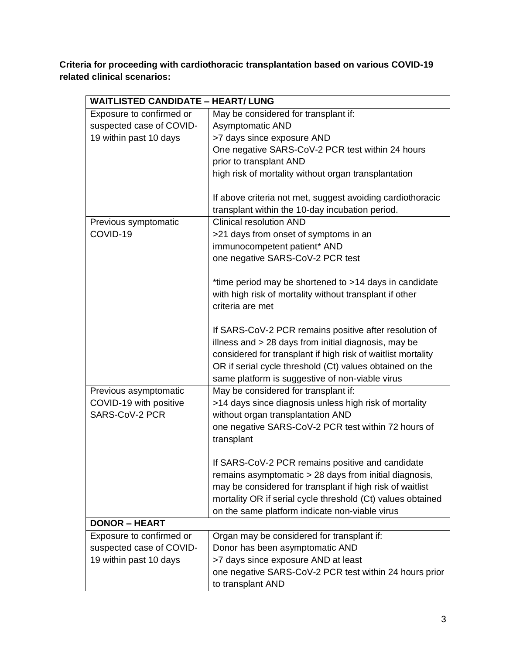**Criteria for proceeding with cardiothoracic transplantation based on various COVID-19 related clinical scenarios:**

| <b>WAITLISTED CANDIDATE - HEART/ LUNG</b> |                                                                                                                                                                                                                                                                                               |  |
|-------------------------------------------|-----------------------------------------------------------------------------------------------------------------------------------------------------------------------------------------------------------------------------------------------------------------------------------------------|--|
| Exposure to confirmed or                  | May be considered for transplant if:                                                                                                                                                                                                                                                          |  |
| suspected case of COVID-                  | <b>Asymptomatic AND</b>                                                                                                                                                                                                                                                                       |  |
| 19 within past 10 days                    | >7 days since exposure AND                                                                                                                                                                                                                                                                    |  |
|                                           | One negative SARS-CoV-2 PCR test within 24 hours                                                                                                                                                                                                                                              |  |
|                                           | prior to transplant AND                                                                                                                                                                                                                                                                       |  |
|                                           | high risk of mortality without organ transplantation                                                                                                                                                                                                                                          |  |
|                                           | If above criteria not met, suggest avoiding cardiothoracic<br>transplant within the 10-day incubation period.                                                                                                                                                                                 |  |
| Previous symptomatic                      | <b>Clinical resolution AND</b>                                                                                                                                                                                                                                                                |  |
| COVID-19                                  | >21 days from onset of symptoms in an                                                                                                                                                                                                                                                         |  |
|                                           | immunocompetent patient* AND                                                                                                                                                                                                                                                                  |  |
|                                           | one negative SARS-CoV-2 PCR test                                                                                                                                                                                                                                                              |  |
|                                           | *time period may be shortened to >14 days in candidate<br>with high risk of mortality without transplant if other<br>criteria are met                                                                                                                                                         |  |
|                                           | If SARS-CoV-2 PCR remains positive after resolution of<br>illness and > 28 days from initial diagnosis, may be<br>considered for transplant if high risk of waitlist mortality<br>OR if serial cycle threshold (Ct) values obtained on the<br>same platform is suggestive of non-viable virus |  |
| Previous asymptomatic                     | May be considered for transplant if:                                                                                                                                                                                                                                                          |  |
| COVID-19 with positive                    | >14 days since diagnosis unless high risk of mortality                                                                                                                                                                                                                                        |  |
| SARS-CoV-2 PCR                            | without organ transplantation AND                                                                                                                                                                                                                                                             |  |
|                                           | one negative SARS-CoV-2 PCR test within 72 hours of<br>transplant                                                                                                                                                                                                                             |  |
|                                           | If SARS-CoV-2 PCR remains positive and candidate                                                                                                                                                                                                                                              |  |
|                                           | remains asymptomatic > 28 days from initial diagnosis,                                                                                                                                                                                                                                        |  |
|                                           | may be considered for transplant if high risk of waitlist                                                                                                                                                                                                                                     |  |
|                                           | mortality OR if serial cycle threshold (Ct) values obtained                                                                                                                                                                                                                                   |  |
|                                           | on the same platform indicate non-viable virus                                                                                                                                                                                                                                                |  |
| <b>DONOR - HEART</b>                      |                                                                                                                                                                                                                                                                                               |  |
| Exposure to confirmed or                  | Organ may be considered for transplant if:                                                                                                                                                                                                                                                    |  |
| suspected case of COVID-                  | Donor has been asymptomatic AND                                                                                                                                                                                                                                                               |  |
| 19 within past 10 days                    | >7 days since exposure AND at least                                                                                                                                                                                                                                                           |  |
|                                           | one negative SARS-CoV-2 PCR test within 24 hours prior<br>to transplant AND                                                                                                                                                                                                                   |  |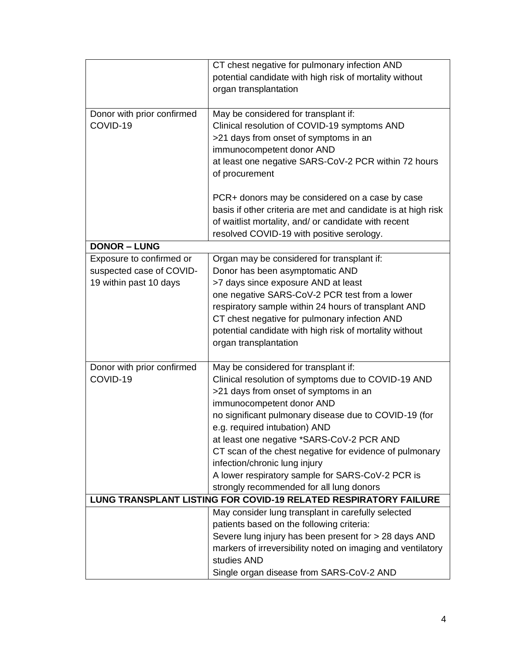|                                                                         | CT chest negative for pulmonary infection AND                 |  |
|-------------------------------------------------------------------------|---------------------------------------------------------------|--|
|                                                                         | potential candidate with high risk of mortality without       |  |
|                                                                         | organ transplantation                                         |  |
|                                                                         |                                                               |  |
| Donor with prior confirmed                                              | May be considered for transplant if:                          |  |
| COVID-19                                                                | Clinical resolution of COVID-19 symptoms AND                  |  |
|                                                                         | >21 days from onset of symptoms in an                         |  |
|                                                                         | immunocompetent donor AND                                     |  |
|                                                                         | at least one negative SARS-CoV-2 PCR within 72 hours          |  |
|                                                                         | of procurement                                                |  |
|                                                                         |                                                               |  |
|                                                                         | PCR+ donors may be considered on a case by case               |  |
|                                                                         | basis if other criteria are met and candidate is at high risk |  |
|                                                                         | of waitlist mortality, and/ or candidate with recent          |  |
|                                                                         | resolved COVID-19 with positive serology.                     |  |
| <b>DONOR - LUNG</b>                                                     |                                                               |  |
| Exposure to confirmed or                                                | Organ may be considered for transplant if:                    |  |
| suspected case of COVID-                                                | Donor has been asymptomatic AND                               |  |
| 19 within past 10 days                                                  | >7 days since exposure AND at least                           |  |
|                                                                         | one negative SARS-CoV-2 PCR test from a lower                 |  |
|                                                                         | respiratory sample within 24 hours of transplant AND          |  |
|                                                                         | CT chest negative for pulmonary infection AND                 |  |
|                                                                         | potential candidate with high risk of mortality without       |  |
|                                                                         | organ transplantation                                         |  |
|                                                                         |                                                               |  |
| Donor with prior confirmed                                              | May be considered for transplant if:                          |  |
| COVID-19                                                                | Clinical resolution of symptoms due to COVID-19 AND           |  |
|                                                                         | >21 days from onset of symptoms in an                         |  |
|                                                                         | immunocompetent donor AND                                     |  |
|                                                                         | no significant pulmonary disease due to COVID-19 (for         |  |
|                                                                         | e.g. required intubation) AND                                 |  |
|                                                                         | at least one negative *SARS-CoV-2 PCR AND                     |  |
|                                                                         | CT scan of the chest negative for evidence of pulmonary       |  |
|                                                                         | infection/chronic lung injury                                 |  |
|                                                                         | A lower respiratory sample for SARS-CoV-2 PCR is              |  |
|                                                                         | strongly recommended for all lung donors                      |  |
| <b>LUNG TRANSPLANT LISTING FOR COVID-19 RELATED RESPIRATORY FAILURE</b> |                                                               |  |
|                                                                         | May consider lung transplant in carefully selected            |  |
|                                                                         | patients based on the following criteria:                     |  |
|                                                                         | Severe lung injury has been present for > 28 days AND         |  |
|                                                                         | markers of irreversibility noted on imaging and ventilatory   |  |
|                                                                         | studies AND                                                   |  |
|                                                                         | Single organ disease from SARS-CoV-2 AND                      |  |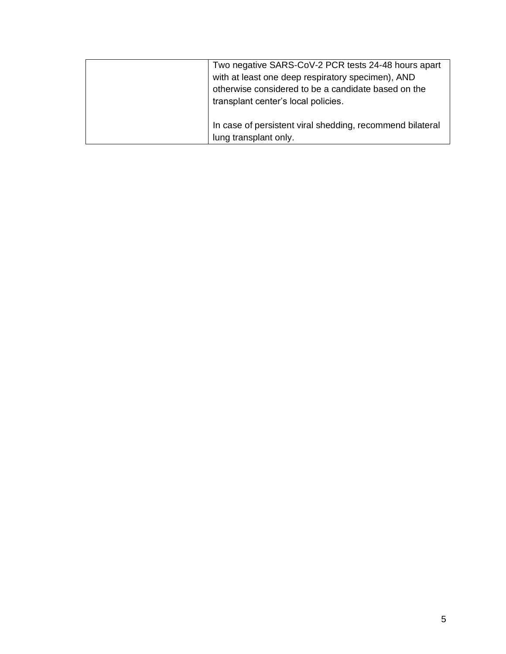| Two negative SARS-CoV-2 PCR tests 24-48 hours apart       |
|-----------------------------------------------------------|
| with at least one deep respiratory specimen), AND         |
| otherwise considered to be a candidate based on the       |
| transplant center's local policies.                       |
|                                                           |
| In case of persistent viral shedding, recommend bilateral |
| lung transplant only.                                     |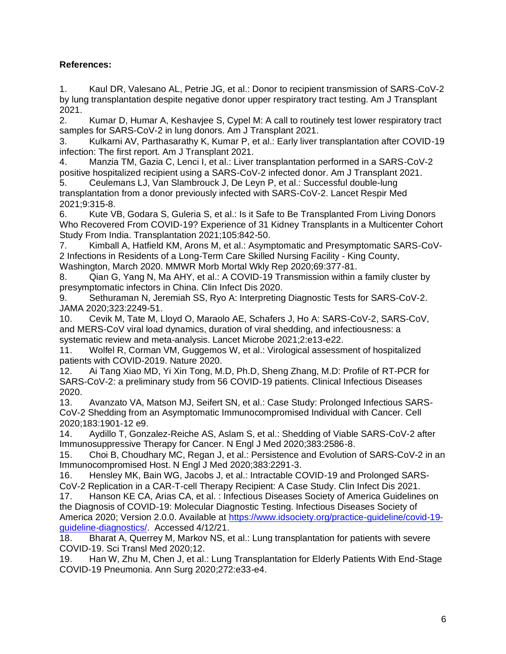## **References:**

1. Kaul DR, Valesano AL, Petrie JG, et al.: Donor to recipient transmission of SARS-CoV-2 by lung transplantation despite negative donor upper respiratory tract testing. Am J Transplant 2021.

2. Kumar D, Humar A, Keshavjee S, Cypel M: A call to routinely test lower respiratory tract samples for SARS-CoV-2 in lung donors. Am J Transplant 2021.

3. Kulkarni AV, Parthasarathy K, Kumar P, et al.: Early liver transplantation after COVID-19 infection: The first report. Am J Transplant 2021.

4. Manzia TM, Gazia C, Lenci I, et al.: Liver transplantation performed in a SARS-CoV-2 positive hospitalized recipient using a SARS-CoV-2 infected donor. Am J Transplant 2021.

5. Ceulemans LJ, Van Slambrouck J, De Leyn P, et al.: Successful double-lung transplantation from a donor previously infected with SARS-CoV-2. Lancet Respir Med 2021;9:315-8.

6. Kute VB, Godara S, Guleria S, et al.: Is it Safe to Be Transplanted From Living Donors Who Recovered From COVID-19? Experience of 31 Kidney Transplants in a Multicenter Cohort Study From India. Transplantation 2021;105:842-50.

7. Kimball A, Hatfield KM, Arons M, et al.: Asymptomatic and Presymptomatic SARS-CoV-2 Infections in Residents of a Long-Term Care Skilled Nursing Facility - King County, Washington, March 2020. MMWR Morb Mortal Wkly Rep 2020;69:377-81.

8. Qian G, Yang N, Ma AHY, et al.: A COVID-19 Transmission within a family cluster by presymptomatic infectors in China. Clin Infect Dis 2020.

9. Sethuraman N, Jeremiah SS, Ryo A: Interpreting Diagnostic Tests for SARS-CoV-2. JAMA 2020;323:2249-51.

10. Cevik M, Tate M, Lloyd O, Maraolo AE, Schafers J, Ho A: SARS-CoV-2, SARS-CoV, and MERS-CoV viral load dynamics, duration of viral shedding, and infectiousness: a systematic review and meta-analysis. Lancet Microbe 2021;2:e13-e22.

11. Wolfel R, Corman VM, Guggemos W, et al.: Virological assessment of hospitalized patients with COVID-2019. Nature 2020.

12. Ai Tang Xiao MD, Yi Xin Tong, M.D, Ph.D, Sheng Zhang, M.D: Profile of RT-PCR for SARS-CoV-2: a preliminary study from 56 COVID-19 patients. Clinical Infectious Diseases 2020.

13. Avanzato VA, Matson MJ, Seifert SN, et al.: Case Study: Prolonged Infectious SARS-CoV-2 Shedding from an Asymptomatic Immunocompromised Individual with Cancer. Cell 2020;183:1901-12 e9.

14. Aydillo T, Gonzalez-Reiche AS, Aslam S, et al.: Shedding of Viable SARS-CoV-2 after Immunosuppressive Therapy for Cancer. N Engl J Med 2020;383:2586-8.

15. Choi B, Choudhary MC, Regan J, et al.: Persistence and Evolution of SARS-CoV-2 in an Immunocompromised Host. N Engl J Med 2020;383:2291-3.

16. Hensley MK, Bain WG, Jacobs J, et al.: Intractable COVID-19 and Prolonged SARS-CoV-2 Replication in a CAR-T-cell Therapy Recipient: A Case Study. Clin Infect Dis 2021.

17. Hanson KE CA, Arias CA, et al. : Infectious Diseases Society of America Guidelines on the Diagnosis of COVID-19: Molecular Diagnostic Testing. Infectious Diseases Society of America 2020; Version 2.0.0. Available at [https://www.idsociety.org/practice-guideline/covid-19](https://www.idsociety.org/practice-guideline/covid-19-guideline-diagnostics/) [guideline-diagnostics/.](https://www.idsociety.org/practice-guideline/covid-19-guideline-diagnostics/) Accessed 4/12/21.

18. Bharat A, Querrey M, Markov NS, et al.: Lung transplantation for patients with severe COVID-19. Sci Transl Med 2020;12.

19. Han W, Zhu M, Chen J, et al.: Lung Transplantation for Elderly Patients With End-Stage COVID-19 Pneumonia. Ann Surg 2020;272:e33-e4.